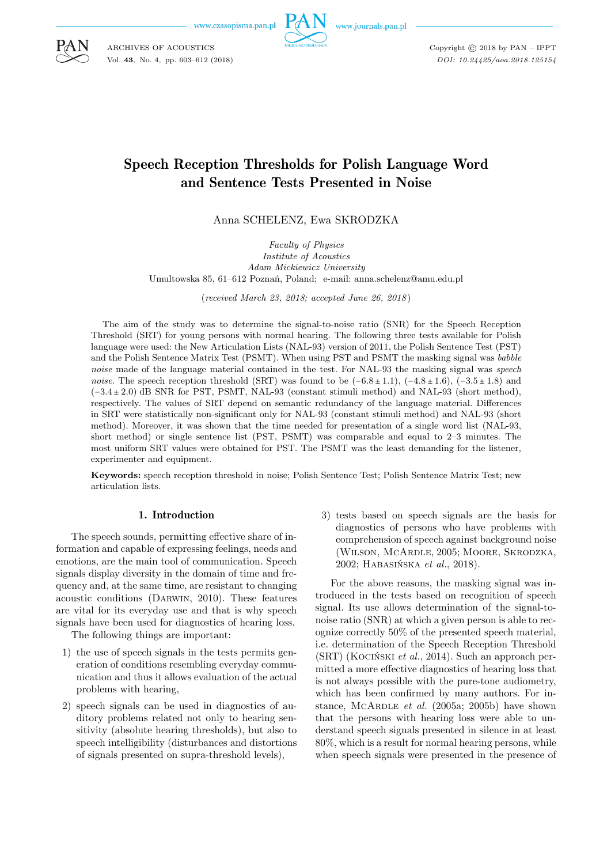w.czasopisma.pan.pl



Copyright © 2018 by PAN – IPPT *DOI: 10.24425/aoa.2018.125154*

# Speech Reception Thresholds for Polish Language Word and Sentence Tests Presented in Noise

Anna SCHELENZ, Ewa SKRODZKA

*Faculty of Physics Institute of Acoustics Adam Mickiewicz University* Umultowska 85, 61–612 Poznań, Poland; e-mail: anna.schelenz@amu.edu.pl

(*received March 23, 2018; accepted June 26, 2018* )

The aim of the study was to determine the signal-to-noise ratio (SNR) for the Speech Reception Threshold (SRT) for young persons with normal hearing. The following three tests available for Polish language were used: the New Articulation Lists (NAL-93) version of 2011, the Polish Sentence Test (PST) and the Polish Sentence Matrix Test (PSMT). When using PST and PSMT the masking signal was *babble noise* made of the language material contained in the test. For NAL-93 the masking signal was *speech noise*. The speech reception threshold (SRT) was found to be  $(-6.8 \pm 1.1)$ ,  $(-4.8 \pm 1.6)$ ,  $(-3.5 \pm 1.8)$  and (−3.4 ± 2.0) dB SNR for PST, PSMT, NAL-93 (constant stimuli method) and NAL-93 (short method), respectively. The values of SRT depend on semantic redundancy of the language material. Differences in SRT were statistically non-significant only for NAL-93 (constant stimuli method) and NAL-93 (short method). Moreover, it was shown that the time needed for presentation of a single word list (NAL-93, short method) or single sentence list (PST, PSMT) was comparable and equal to 2–3 minutes. The most uniform SRT values were obtained for PST. The PSMT was the least demanding for the listener, experimenter and equipment.

**Keywords:** speech reception threshold in noise; Polish Sentence Test; Polish Sentence Matrix Test; new articulation lists.

## 1. Introduction

The speech sounds, permitting effective share of information and capable of expressing feelings, needs and emotions, are the main tool of communication. Speech signals display diversity in the domain of time and frequency and, at the same time, are resistant to changing acoustic conditions (Darwin, 2010). These features are vital for its everyday use and that is why speech signals have been used for diagnostics of hearing loss.

The following things are important:

- 1) the use of speech signals in the tests permits generation of conditions resembling everyday communication and thus it allows evaluation of the actual problems with hearing,
- 2) speech signals can be used in diagnostics of auditory problems related not only to hearing sensitivity (absolute hearing thresholds), but also to speech intelligibility (disturbances and distortions of signals presented on supra-threshold levels),

3) tests based on speech signals are the basis for diagnostics of persons who have problems with comprehension of speech against background noise (Wilson, McArdle, 2005; Moore, Skrodzka, 2002; Habasińska *et al.*, 2018).

For the above reasons, the masking signal was introduced in the tests based on recognition of speech signal. Its use allows determination of the signal-tonoise ratio (SNR) at which a given person is able to recognize correctly 50% of the presented speech material, i.e. determination of the Speech Reception Threshold (SRT) (Kociński *et al.*, 2014). Such an approach permitted a more effective diagnostics of hearing loss that is not always possible with the pure-tone audiometry, which has been confirmed by many authors. For instance, McArdle *et al.* (2005a; 2005b) have shown that the persons with hearing loss were able to understand speech signals presented in silence in at least 80%, which is a result for normal hearing persons, while when speech signals were presented in the presence of



ARCHIVES OF ACOUSTICS Vol. **43**, No. 4, pp. 603–612 (2018)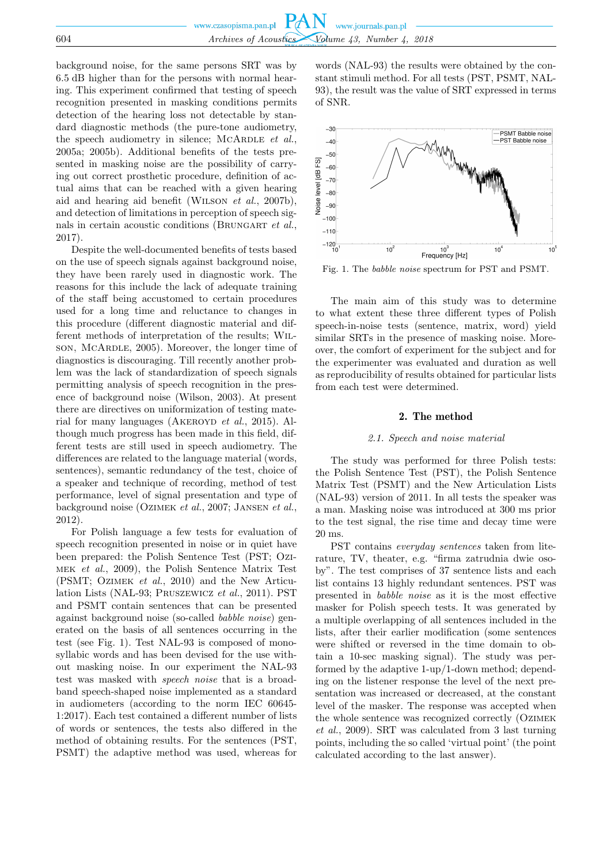background noise, for the same persons SRT was by 6.5 dB higher than for the persons with normal hearing. This experiment confirmed that testing of speech recognition presented in masking conditions permits detection of the hearing loss not detectable by standard diagnostic methods (the pure-tone audiometry, the speech audiometry in silence; MCARDLE *et al.*, 2005a; 2005b). Additional benefits of the tests presented in masking noise are the possibility of carrying out correct prosthetic procedure, definition of actual aims that can be reached with a given hearing aid and hearing aid benefit (Wilson *et al.*, 2007b), and detection of limitations in perception of speech signals in certain acoustic conditions (BRUNGART *et al.*, 2017).

Despite the well-documented benefits of tests based on the use of speech signals against background noise, they have been rarely used in diagnostic work. The reasons for this include the lack of adequate training of the staff being accustomed to certain procedures used for a long time and reluctance to changes in this procedure (different diagnostic material and different methods of interpretation of the results; Wilson, McArdle, 2005). Moreover, the longer time of diagnostics is discouraging. Till recently another problem was the lack of standardization of speech signals permitting analysis of speech recognition in the presence of background noise (Wilson, 2003). At present there are directives on uniformization of testing material for many languages (AKEROYD *et al.*, 2015). Although much progress has been made in this field, different tests are still used in speech audiometry. The differences are related to the language material (words, sentences), semantic redundancy of the test, choice of a speaker and technique of recording, method of test performance, level of signal presentation and type of background noise (Ozimek *et al.*, 2007; Jansen *et al.*, 2012).

For Polish language a few tests for evaluation of speech recognition presented in noise or in quiet have been prepared: the Polish Sentence Test (PST; Ozimek *et al.*, 2009), the Polish Sentence Matrix Test (PSMT; Ozimek *et al.*, 2010) and the New Articulation Lists (NAL-93; Pruszewicz *et al.*, 2011). PST and PSMT contain sentences that can be presented against background noise (so-called *babble noise*) generated on the basis of all sentences occurring in the test (see Fig. 1). Test NAL-93 is composed of monosyllabic words and has been devised for the use without masking noise. In our experiment the NAL-93 test was masked with *speech noise* that is a broadband speech-shaped noise implemented as a standard in audiometers (according to the norm IEC 60645- 1:2017). Each test contained a different number of lists of words or sentences, the tests also differed in the method of obtaining results. For the sentences (PST, PSMT) the adaptive method was used, whereas for

words (NAL-93) the results were obtained by the constant stimuli method. For all tests (PST, PSMT, NAL-93), the result was the value of SRT expressed in terms of SNR.



Fig. 1. The *babble noise* spectrum for PST and PSMT.

The main aim of this study was to determine to what extent these three different types of Polish speech-in-noise tests (sentence, matrix, word) yield similar SRTs in the presence of masking noise. Moreover, the comfort of experiment for the subject and for the experimenter was evaluated and duration as well as reproducibility of results obtained for particular lists from each test were determined.

## 2. The method

## *2.1. Speech and noise material*

The study was performed for three Polish tests: the Polish Sentence Test (PST), the Polish Sentence Matrix Test (PSMT) and the New Articulation Lists (NAL-93) version of 2011. In all tests the speaker was a man. Masking noise was introduced at 300 ms prior to the test signal, the rise time and decay time were 20 ms.

PST contains *everyday sentences* taken from literature, TV, theater, e.g. "firma zatrudnia dwie osoby". The test comprises of 37 sentence lists and each list contains 13 highly redundant sentences. PST was presented in *babble noise* as it is the most effective masker for Polish speech tests. It was generated by a multiple overlapping of all sentences included in the lists, after their earlier modification (some sentences were shifted or reversed in the time domain to obtain a 10-sec masking signal). The study was performed by the adaptive 1-up/1-down method; depending on the listener response the level of the next presentation was increased or decreased, at the constant level of the masker. The response was accepted when the whole sentence was recognized correctly (Ozimek *et al.*, 2009). SRT was calculated from 3 last turning points, including the so called 'virtual point' (the point calculated according to the last answer).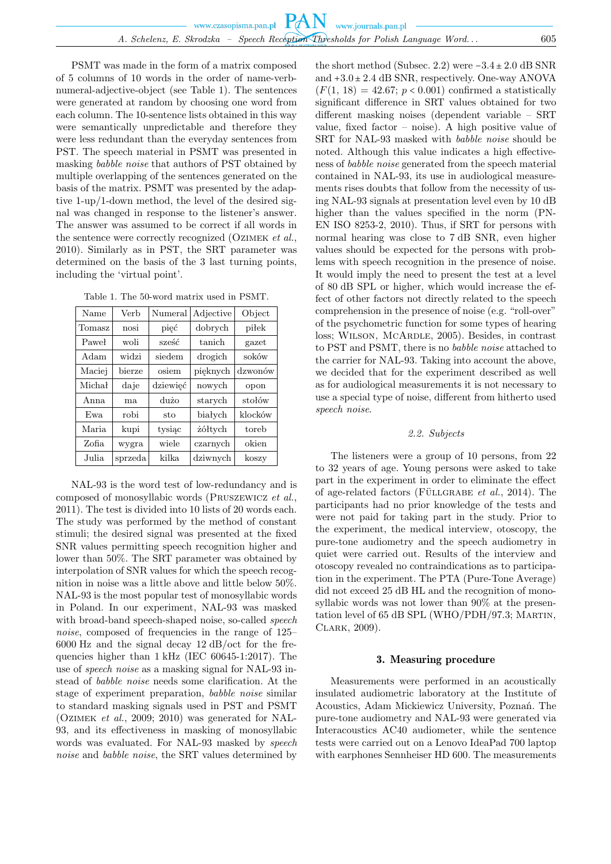PSMT was made in the form of a matrix composed of 5 columns of 10 words in the order of name-verbnumeral-adjective-object (see Table 1). The sentences were generated at random by choosing one word from each column. The 10-sentence lists obtained in this way were semantically unpredictable and therefore they were less redundant than the everyday sentences from PST. The speech material in PSMT was presented in masking *babble noise* that authors of PST obtained by multiple overlapping of the sentences generated on the basis of the matrix. PSMT was presented by the adaptive 1-up/1-down method, the level of the desired signal was changed in response to the listener's answer. The answer was assumed to be correct if all words in the sentence were correctly recognized (Ozimek *et al.*, 2010). Similarly as in PST, the SRT parameter was determined on the basis of the 3 last turning points, including the 'virtual point'.

Table 1. The 50-word matrix used in PSMT.

| Name   | Verb    | Numeral  | Adjective | Object  |
|--------|---------|----------|-----------|---------|
| Tomasz | nosi    | pięć     | dobrych   | piłek   |
| Paweł  | woli    | sześć    | tanich    | gazet   |
| Adam   | widzi   | siedem   | drogich   | soków   |
| Maciei | bierze  | osiem    | pięknych  | dzwonów |
| Michał | daje    | dziewieć | nowych    | opon    |
| Anna   | ma.     | dużo     | starych   | stołów  |
| Ewa    | robi    | sto      | białych   | klocków |
| Maria  | kupi    | tysiac   | żółtych   | toreb   |
| Zofia  | wygra   | wiele    | czarnych  | okien   |
| Julia  | sprzeda | kilka    | dziwnych  | koszy   |

NAL-93 is the word test of low-redundancy and is composed of monosyllabic words (Pruszewicz *et al.*, 2011). The test is divided into 10 lists of 20 words each. The study was performed by the method of constant stimuli; the desired signal was presented at the fixed SNR values permitting speech recognition higher and lower than 50%. The SRT parameter was obtained by interpolation of SNR values for which the speech recognition in noise was a little above and little below 50%. NAL-93 is the most popular test of monosyllabic words in Poland. In our experiment, NAL-93 was masked with broad-band speech-shaped noise, so-called *speech noise*, composed of frequencies in the range of 125– 6000 Hz and the signal decay 12 dB/oct for the frequencies higher than 1 kHz (IEC 60645-1:2017). The use of *speech noise* as a masking signal for NAL-93 instead of *babble noise* needs some clarification. At the stage of experiment preparation, *babble noise* similar to standard masking signals used in PST and PSMT (Ozimek *et al.*, 2009; 2010) was generated for NAL-93, and its effectiveness in masking of monosyllabic words was evaluated. For NAL-93 masked by *speech noise* and *babble noise*, the SRT values determined by

the short method (Subsec. 2.2) were  $-3.4 \pm 2.0$  dB SNR and  $+3.0 \pm 2.4$  dB SNR, respectively. One-way ANOVA  $(F(1, 18) = 42.67; p < 0.001)$  confirmed a statistically significant difference in SRT values obtained for two different masking noises (dependent variable – SRT value, fixed factor  $-$  noise). A high positive value of SRT for NAL-93 masked with *babble noise* should be noted. Although this value indicates a high effectiveness of *babble noise* generated from the speech material contained in NAL-93, its use in audiological measurements rises doubts that follow from the necessity of using NAL-93 signals at presentation level even by 10 dB higher than the values specified in the norm (PN-EN ISO 8253-2, 2010). Thus, if SRT for persons with normal hearing was close to 7 dB SNR, even higher values should be expected for the persons with problems with speech recognition in the presence of noise. It would imply the need to present the test at a level of 80 dB SPL or higher, which would increase the effect of other factors not directly related to the speech comprehension in the presence of noise (e.g. "roll-over" of the psychometric function for some types of hearing loss; Wilson, McArdle, 2005). Besides, in contrast to PST and PSMT, there is no *babble noise* attached to the carrier for NAL-93. Taking into account the above, we decided that for the experiment described as well as for audiological measurements it is not necessary to use a special type of noise, different from hitherto used *speech noise*.

## *2.2. Subjects*

The listeners were a group of 10 persons, from 22 to 32 years of age. Young persons were asked to take part in the experiment in order to eliminate the effect of age-related factors (FÜLLGRABE *et al.*, 2014). The participants had no prior knowledge of the tests and were not paid for taking part in the study. Prior to the experiment, the medical interview, otoscopy, the pure-tone audiometry and the speech audiometry in quiet were carried out. Results of the interview and otoscopy revealed no contraindications as to participation in the experiment. The PTA (Pure-Tone Average) did not exceed 25 dB HL and the recognition of monosyllabic words was not lower than 90% at the presentation level of 65 dB SPL (WHO/PDH/97.3; MARTIN, Clark, 2009).

## 3. Measuring procedure

Measurements were performed in an acoustically insulated audiometric laboratory at the Institute of Acoustics, Adam Mickiewicz University, Poznań. The pure-tone audiometry and NAL-93 were generated via Interacoustics AC40 audiometer, while the sentence tests were carried out on a Lenovo IdeaPad 700 laptop with earphones Sennheiser HD 600. The measurements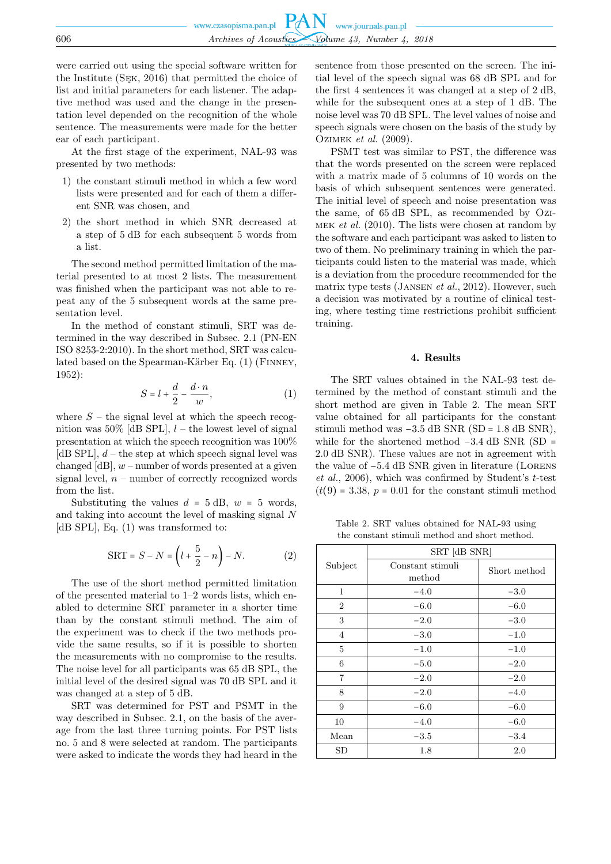were carried out using the special software written for the Institute (Sęk, 2016) that permitted the choice of list and initial parameters for each listener. The adaptive method was used and the change in the presentation level depended on the recognition of the whole sentence. The measurements were made for the better ear of each participant.

At the first stage of the experiment, NAL-93 was presented by two methods:

- 1) the constant stimuli method in which a few word lists were presented and for each of them a different SNR was chosen, and
- 2) the short method in which SNR decreased at a step of 5 dB for each subsequent 5 words from a list.

The second method permitted limitation of the material presented to at most 2 lists. The measurement was finished when the participant was not able to repeat any of the 5 subsequent words at the same presentation level.

In the method of constant stimuli, SRT was determined in the way described in Subsec. 2.1 (PN-EN ISO 8253-2:2010). In the short method, SRT was calculated based on the Spearman-Kärber Eq.  $(1)$  (FINNEY, 1952):

$$
S = l + \frac{d}{2} - \frac{d \cdot n}{w},\tag{1}
$$

where  $S$  – the signal level at which the speech recognition was  $50\%$  [dB SPL],  $l$  – the lowest level of signal presentation at which the speech recognition was 100% [dB SPL],  $d$  – the step at which speech signal level was changed  $[dB]$ ,  $w$  – number of words presented at a given signal level,  $n$  – number of correctly recognized words from the list.

Substituting the values  $d = 5$  dB,  $w = 5$  words, and taking into account the level of masking signal N [dB SPL], Eq. (1) was transformed to:

$$
SRT = S - N = \left(l + \frac{5}{2} - n\right) - N.\tag{2}
$$

The use of the short method permitted limitation of the presented material to 1–2 words lists, which enabled to determine SRT parameter in a shorter time than by the constant stimuli method. The aim of the experiment was to check if the two methods provide the same results, so if it is possible to shorten the measurements with no compromise to the results. The noise level for all participants was 65 dB SPL, the initial level of the desired signal was 70 dB SPL and it was changed at a step of 5 dB.

SRT was determined for PST and PSMT in the way described in Subsec. 2.1, on the basis of the average from the last three turning points. For PST lists no. 5 and 8 were selected at random. The participants were asked to indicate the words they had heard in the

sentence from those presented on the screen. The initial level of the speech signal was 68 dB SPL and for the first 4 sentences it was changed at a step of 2 dB, while for the subsequent ones at a step of 1 dB. The noise level was 70 dB SPL. The level values of noise and speech signals were chosen on the basis of the study by Ozimek *et al.* (2009).

PSMT test was similar to PST, the difference was that the words presented on the screen were replaced with a matrix made of 5 columns of 10 words on the basis of which subsequent sentences were generated. The initial level of speech and noise presentation was the same, of 65 dB SPL, as recommended by Ozimek *et al.* (2010). The lists were chosen at random by the software and each participant was asked to listen to two of them. No preliminary training in which the participants could listen to the material was made, which is a deviation from the procedure recommended for the matrix type tests (Jansen *et al.*, 2012). However, such a decision was motivated by a routine of clinical testing, where testing time restrictions prohibit sufficient training.

# 4. Results

The SRT values obtained in the NAL-93 test determined by the method of constant stimuli and the short method are given in Table 2. The mean SRT value obtained for all participants for the constant stimuli method was  $-3.5$  dB SNR (SD = 1.8 dB SNR), while for the shortened method  $-3.4$  dB SNR (SD = 2.0 dB SNR). These values are not in agreement with the value of −5.4 dB SNR given in literature (Lorens *et al.*, 2006), which was confirmed by Student's t-test  $(t(9) = 3.38, p = 0.01$  for the constant stimuli method

Table 2. SRT values obtained for NAL-93 using the constant stimuli method and short method.

|                | SRT [dB SNR]               |              |  |  |
|----------------|----------------------------|--------------|--|--|
| Subject        | Constant stimuli<br>method | Short method |  |  |
| 1              | $-4.0$                     | $-3.0$       |  |  |
| 2              | $-6.0$                     | $-6.0$       |  |  |
| 3              | $-2.0$                     | $-3.0$       |  |  |
| 4              | $-3.0$                     | $-1.0$       |  |  |
| 5              | $-1.0$                     | $-1.0$       |  |  |
| 6              | $-5.0$                     | $-2.0$       |  |  |
| $\overline{7}$ | $-2.0$                     | $-2.0$       |  |  |
| 8              | $-2.0$                     | $-4.0$       |  |  |
| 9              | $-6.0$                     | $-6.0$       |  |  |
| 10             | $-4.0$                     | $-6.0$       |  |  |
| Mean           | $-3.5$                     | $-3.4$       |  |  |
| SD             | 1.8                        | 2.0          |  |  |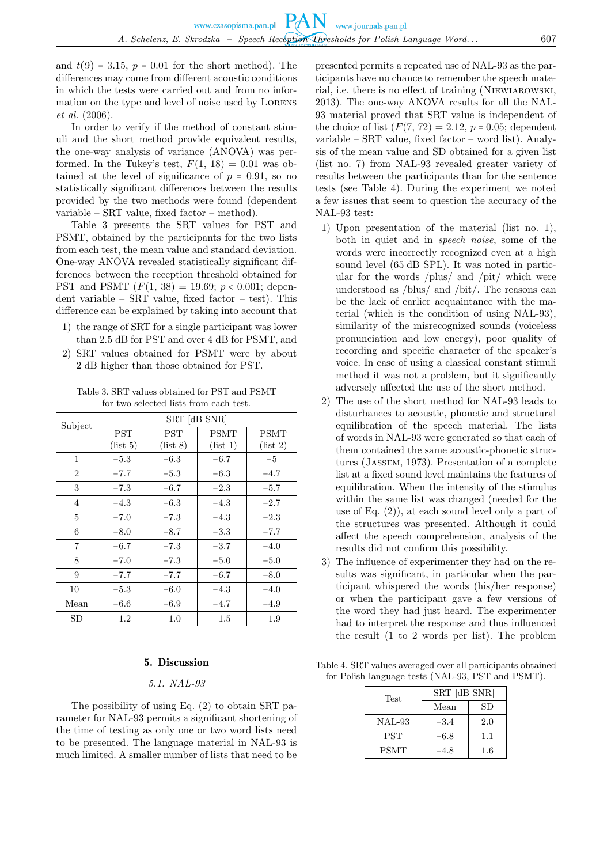and  $t(9) = 3.15$ ,  $p = 0.01$  for the short method). The differences may come from different acoustic conditions in which the tests were carried out and from no information on the type and level of noise used by LORENS *et al.* (2006).

In order to verify if the method of constant stimuli and the short method provide equivalent results, the one-way analysis of variance (ANOVA) was performed. In the Tukey's test,  $F(1, 18) = 0.01$  was obtained at the level of significance of  $p = 0.91$ , so no statistically significant differences between the results provided by the two methods were found (dependent variable – SRT value, fixed factor – method).

Table 3 presents the SRT values for PST and PSMT, obtained by the participants for the two lists from each test, the mean value and standard deviation. One-way ANOVA revealed statistically significant differences between the reception threshold obtained for PST and PSMT  $(F(1, 38) = 19.69; p < 0.001;$  dependent variable –  $SRT$  value, fixed factor – test). This difference can be explained by taking into account that

- 1) the range of SRT for a single participant was lower than 2.5 dB for PST and over 4 dB for PSMT, and
- 2) SRT values obtained for PSMT were by about 2 dB higher than those obtained for PST.

Table 3. SRT values obtained for PST and PSMT for two selected lists from each test.

| Subject        | SRT [dB SNR] |            |             |             |  |
|----------------|--------------|------------|-------------|-------------|--|
|                | <b>PST</b>   | <b>PST</b> | <b>PSMT</b> | <b>PSMT</b> |  |
|                | (list 5)     | (list 8)   | (list 1)    | (list 2)    |  |
| 1              | $-5.3$       | $-6.3$     | $-6.7$      | $-5$        |  |
| $\overline{2}$ | $-7.7$       | $-5.3$     | $-6.3$      | $-4.7$      |  |
| 3              | $-7.3$       | $-6.7$     | $-2.3$      | $-5.7$      |  |
| 4              | $-4.3$       | $-6.3$     | $-4.3$      | $-2.7$      |  |
| 5              | $-7.0$       | $-7.3$     | $-4.3$      | $-2.3$      |  |
| 6              | $-8.0$       | $-8.7$     | $-3.3$      | $-7.7$      |  |
| $\overline{7}$ | $-6.7$       | $-7.3$     | $-3.7$      | $-4.0$      |  |
| 8              | $-7.0$       | $-7.3$     | $-5.0$      | $-5.0$      |  |
| 9              | $-7.7$       | $-7.7$     | $-6.7$      | $-8.0$      |  |
| 10             | $-5.3$       | $-6.0$     | $-4.3$      | $-4.0$      |  |
| Mean           | $-6.6$       | $-6.9$     | $-4.7$      | $-4.9$      |  |
| SD             | 1.2          | 1.0        | 1.5         | 1.9         |  |

# 5. Discussion

# *5.1. NAL-93*

The possibility of using Eq. (2) to obtain SRT parameter for NAL-93 permits a significant shortening of the time of testing as only one or two word lists need to be presented. The language material in NAL-93 is much limited. A smaller number of lists that need to be

presented permits a repeated use of NAL-93 as the participants have no chance to remember the speech material, i.e. there is no effect of training (Niewiarowski, 2013). The one-way ANOVA results for all the NAL-93 material proved that SRT value is independent of the choice of list  $(F(7, 72) = 2.12, p = 0.05;$  dependent variable – SRT value, fixed factor – word list). Analysis of the mean value and SD obtained for a given list (list no. 7) from NAL-93 revealed greater variety of results between the participants than for the sentence tests (see Table 4). During the experiment we noted a few issues that seem to question the accuracy of the NAL-93 test:

- 1) Upon presentation of the material (list no. 1), both in quiet and in *speech noise*, some of the words were incorrectly recognized even at a high sound level (65 dB SPL). It was noted in particular for the words /plus/ and /pit/ which were understood as /blus/ and /bit/. The reasons can be the lack of earlier acquaintance with the material (which is the condition of using NAL-93), similarity of the misrecognized sounds (voiceless pronunciation and low energy), poor quality of recording and specific character of the speaker's voice. In case of using a classical constant stimuli method it was not a problem, but it significantly adversely affected the use of the short method.
- 2) The use of the short method for NAL-93 leads to disturbances to acoustic, phonetic and structural equilibration of the speech material. The lists of words in NAL-93 were generated so that each of them contained the same acoustic-phonetic structures (Jassem, 1973). Presentation of a complete list at a fixed sound level maintains the features of equilibration. When the intensity of the stimulus within the same list was changed (needed for the use of Eq.  $(2)$ , at each sound level only a part of the structures was presented. Although it could affect the speech comprehension, analysis of the results did not confirm this possibility.
- 3) The influence of experimenter they had on the results was significant, in particular when the participant whispered the words (his/her response) or when the participant gave a few versions of the word they had just heard. The experimenter had to interpret the response and thus influenced the result (1 to 2 words per list). The problem

Table 4. SRT values averaged over all participants obtained for Polish language tests (NAL-93, PST and PSMT).

| Test        | SRT [dB SNR] |     |  |
|-------------|--------------|-----|--|
|             | Mean         | SD  |  |
| $NAL-93$    | $-3.4$       | 2.0 |  |
| <b>PST</b>  | $-6.8$       | 1.1 |  |
| <b>PSMT</b> | -4.8         | 1.6 |  |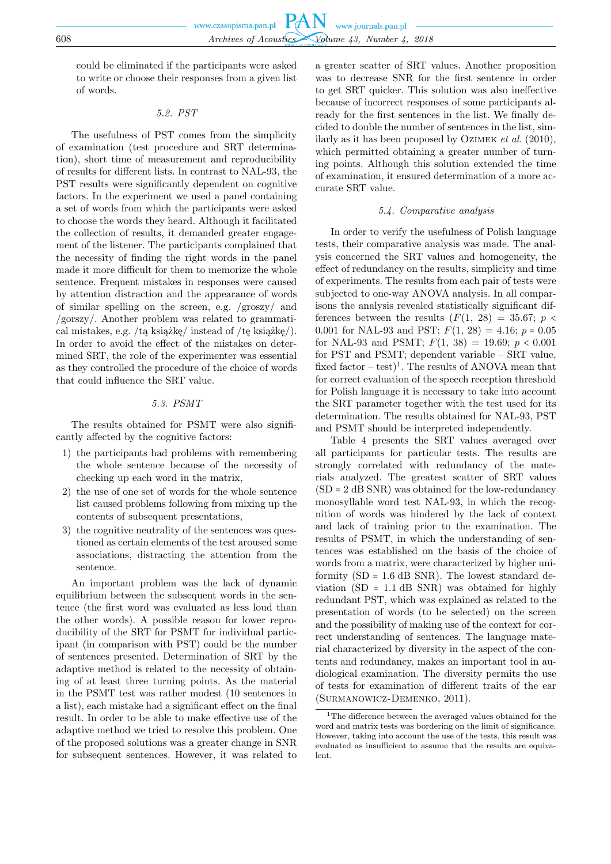could be eliminated if the participants were asked to write or choose their responses from a given list of words.

# *5.2. PST*

The usefulness of PST comes from the simplicity of examination (test procedure and SRT determination), short time of measurement and reproducibility of results for different lists. In contrast to NAL-93, the PST results were significantly dependent on cognitive factors. In the experiment we used a panel containing a set of words from which the participants were asked to choose the words they heard. Although it facilitated the collection of results, it demanded greater engagement of the listener. The participants complained that the necessity of finding the right words in the panel made it more difficult for them to memorize the whole sentence. Frequent mistakes in responses were caused by attention distraction and the appearance of words of similar spelling on the screen, e.g. /groszy/ and /gorszy/. Another problem was related to grammatical mistakes, e.g. /tą książkę/ instead of /tę książkę/). In order to avoid the effect of the mistakes on determined SRT, the role of the experimenter was essential as they controlled the procedure of the choice of words that could influence the SRT value.

# *5.3. PSMT*

The results obtained for PSMT were also significantly affected by the cognitive factors:

- 1) the participants had problems with remembering the whole sentence because of the necessity of checking up each word in the matrix,
- 2) the use of one set of words for the whole sentence list caused problems following from mixing up the contents of subsequent presentations,
- 3) the cognitive neutrality of the sentences was questioned as certain elements of the test aroused some associations, distracting the attention from the sentence.

An important problem was the lack of dynamic equilibrium between the subsequent words in the sentence (the first word was evaluated as less loud than the other words). A possible reason for lower reproducibility of the SRT for PSMT for individual participant (in comparison with PST) could be the number of sentences presented. Determination of SRT by the adaptive method is related to the necessity of obtaining of at least three turning points. As the material in the PSMT test was rather modest (10 sentences in a list), each mistake had a significant effect on the final result. In order to be able to make effective use of the adaptive method we tried to resolve this problem. One of the proposed solutions was a greater change in SNR for subsequent sentences. However, it was related to

a greater scatter of SRT values. Another proposition was to decrease SNR for the first sentence in order to get SRT quicker. This solution was also ineffective because of incorrect responses of some participants already for the first sentences in the list. We finally decided to double the number of sentences in the list, similarly as it has been proposed by Ozimek *et al.* (2010), which permitted obtaining a greater number of turning points. Although this solution extended the time of examination, it ensured determination of a more accurate SRT value.

# *5.4. Comparative analysis*

In order to verify the usefulness of Polish language tests, their comparative analysis was made. The analysis concerned the SRT values and homogeneity, the effect of redundancy on the results, simplicity and time of experiments. The results from each pair of tests were subjected to one-way ANOVA analysis. In all comparisons the analysis revealed statistically significant differences between the results  $(F(1, 28) = 35.67; p <$ 0.001 for NAL-93 and PST;  $F(1, 28) = 4.16$ ;  $p = 0.05$ for NAL-93 and PSMT;  $F(1, 38) = 19.69$ ;  $p < 0.001$ for PST and PSMT; dependent variable – SRT value, fixed factor  $-\text{ test}$ <sup>1</sup>. The results of ANOVA mean that for correct evaluation of the speech reception threshold for Polish language it is necessary to take into account the SRT parameter together with the test used for its determination. The results obtained for NAL-93, PST and PSMT should be interpreted independently.

Table 4 presents the SRT values averaged over all participants for particular tests. The results are strongly correlated with redundancy of the materials analyzed. The greatest scatter of SRT values  $(SD = 2 dB SNR)$  was obtained for the low-redundancy monosyllable word test NAL-93, in which the recognition of words was hindered by the lack of context and lack of training prior to the examination. The results of PSMT, in which the understanding of sentences was established on the basis of the choice of words from a matrix, were characterized by higher uniformity  $(SD = 1.6$  dB SNR). The lowest standard deviation  $(SD = 1.1$  dB SNR) was obtained for highly redundant PST, which was explained as related to the presentation of words (to be selected) on the screen and the possibility of making use of the context for correct understanding of sentences. The language material characterized by diversity in the aspect of the contents and redundancy, makes an important tool in audiological examination. The diversity permits the use of tests for examination of different traits of the ear (Surmanowicz-Demenko, 2011).

<sup>&</sup>lt;sup>1</sup>The difference between the averaged values obtained for the word and matrix tests was bordering on the limit of significance. However, taking into account the use of the tests, this result was evaluated as insufficient to assume that the results are equivalent.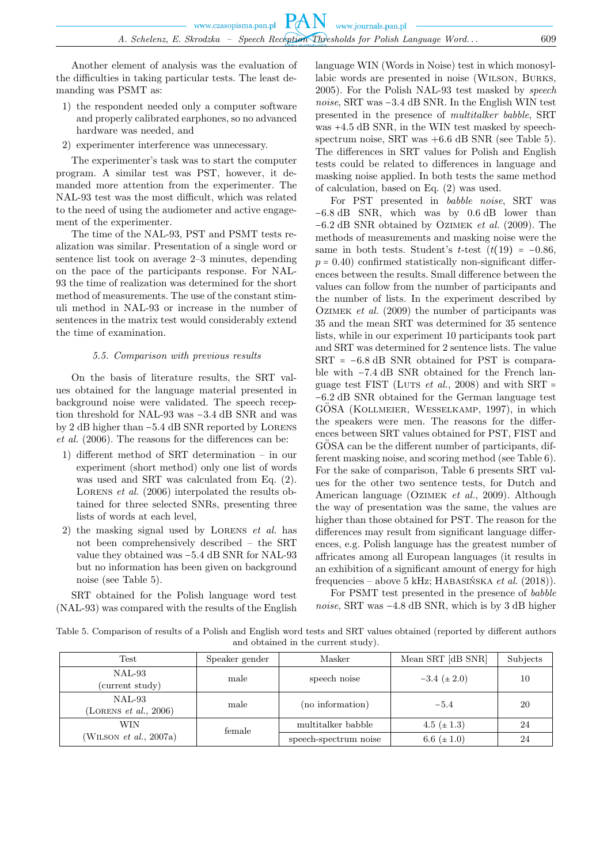Another element of analysis was the evaluation of the difficulties in taking particular tests. The least demanding was PSMT as:

- 1) the respondent needed only a computer software and properly calibrated earphones, so no advanced hardware was needed, and
- 2) experimenter interference was unnecessary.

The experimenter's task was to start the computer program. A similar test was PST, however, it demanded more attention from the experimenter. The NAL-93 test was the most difficult, which was related to the need of using the audiometer and active engagement of the experimenter.

The time of the NAL-93, PST and PSMT tests realization was similar. Presentation of a single word or sentence list took on average 2–3 minutes, depending on the pace of the participants response. For NAL-93 the time of realization was determined for the short method of measurements. The use of the constant stimuli method in NAL-93 or increase in the number of sentences in the matrix test would considerably extend the time of examination.

## *5.5. Comparison with previous results*

On the basis of literature results, the SRT values obtained for the language material presented in background noise were validated. The speech reception threshold for NAL-93 was −3.4 dB SNR and was by 2 dB higher than −5.4 dB SNR reported by Lorens *et al.* (2006). The reasons for the differences can be:

- 1) different method of SRT determination in our experiment (short method) only one list of words was used and SRT was calculated from Eq. (2). LORENS *et al.* (2006) interpolated the results obtained for three selected SNRs, presenting three lists of words at each level,
- 2) the masking signal used by Lorens *et al.* has not been comprehensively described – the SRT value they obtained was −5.4 dB SNR for NAL-93 but no information has been given on background noise (see Table 5).

SRT obtained for the Polish language word test (NAL-93) was compared with the results of the English language WIN (Words in Noise) test in which monosyllabic words are presented in noise (Wilson, Burks, 2005). For the Polish NAL-93 test masked by *speech noise*, SRT was −3.4 dB SNR. In the English WIN test presented in the presence of *multitalker babble*, SRT was +4.5 dB SNR, in the WIN test masked by speechspectrum noise, SRT was  $+6.6$  dB SNR (see Table 5). The differences in SRT values for Polish and English tests could be related to differences in language and masking noise applied. In both tests the same method of calculation, based on Eq. (2) was used.

For PST presented in *babble noise*, SRT was −6.8 dB SNR, which was by 0.6 dB lower than −6.2 dB SNR obtained by Ozimek *et al.* (2009). The methods of measurements and masking noise were the same in both tests. Student's t-test  $(t(19) = -0.86,$  $p = 0.40$ ) confirmed statistically non-significant differences between the results. Small difference between the values can follow from the number of participants and the number of lists. In the experiment described by Ozimek *et al.* (2009) the number of participants was 35 and the mean SRT was determined for 35 sentence lists, while in our experiment 10 participants took part and SRT was determined for 2 sentence lists. The value SRT = −6.8 dB SNR obtained for PST is comparable with −7.4 dB SNR obtained for the French language test FIST (LUTS  $et$  al., 2008) and with SRT = −6.2 dB SNR obtained for the German language test GÖSA (KOLLMEIER, WESSELKAMP, 1997), in which the speakers were men. The reasons for the differences between SRT values obtained for PST, FIST and GOSA can be the different number of participants, different masking noise, and scoring method (see Table 6). For the sake of comparison, Table 6 presents SRT values for the other two sentence tests, for Dutch and American language (Ozimek *et al.*, 2009). Although the way of presentation was the same, the values are higher than those obtained for PST. The reason for the differences may result from significant language differences, e.g. Polish language has the greatest number of affricates among all European languages (it results in an exhibition of a significant amount of energy for high frequencies – above 5 kHz; Habasińska *et al.* (2018)).

For PSMT test presented in the presence of *babble noise*, SRT was −4.8 dB SNR, which is by 3 dB higher

Table 5. Comparison of results of a Polish and English word tests and SRT values obtained (reported by different authors and obtained in the current study).

| $\operatorname{Test}$                   | Speaker gender | Masker                | Mean SRT [dB SNR] | Subjects |
|-----------------------------------------|----------------|-----------------------|-------------------|----------|
| NAL-93<br>(current study)               | male           | speech noise          | $-3.4~(\pm 2.0)$  | 10       |
| $NAL-93$<br>(LORENS $et \ al.,\ 2006$ ) | male           | (no information)      | $-5.4$            | 20       |
| WIN                                     | female         | multitalker babble    | 4.5 $(\pm 1.3)$   | -24      |
| (WILSON $et$ al., 2007a)                |                | speech-spectrum noise | 6.6 $(\pm 1.0)$   | 24       |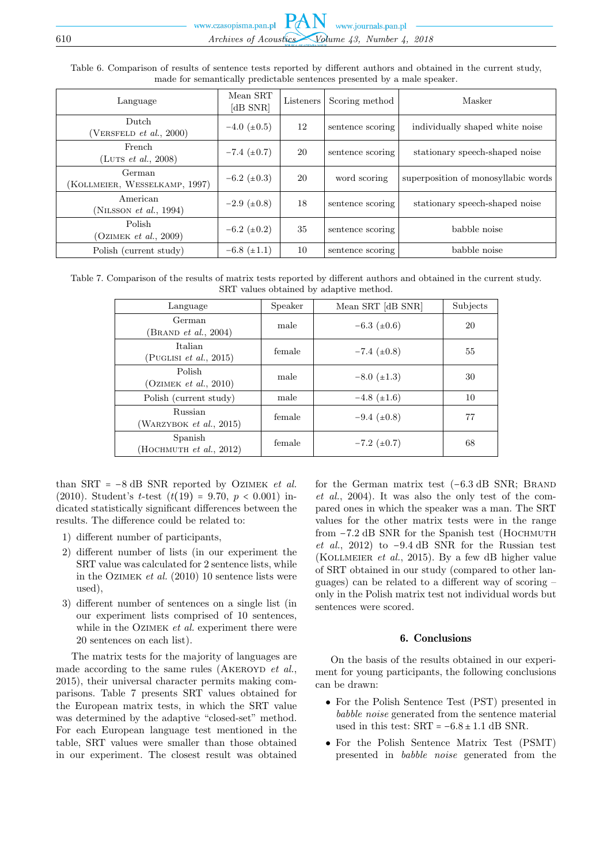Table 6. Comparison of results of sentence tests reported by different authors and obtained in the current study, made for semantically predictable sentences presented by a male speaker.

| Language                                   | Mean SRT<br>$dB$ SNR | Listeners | Scoring method   | Masker                              |
|--------------------------------------------|----------------------|-----------|------------------|-------------------------------------|
| Dutch<br>(VERSELD et al., 2000)            | $-4.0~(\pm 0.5)$     | 12        | sentence scoring | individually shaped white noise     |
| French<br>(LUTS <i>et al.</i> , 2008)      | $-7.4~(\pm 0.7)$     | 20        | sentence scoring | stationary speech-shaped noise      |
| German<br>(KOLLMEIER, WESSELKAMP, 1997)    | $-6.2~(\pm 0.3)$     | 20        | word scoring     | superposition of monosyllabic words |
| American<br>(NILSSON <i>et al.</i> , 1994) | $-2.9~(\pm 0.8)$     | 18        | sentence scoring | stationary speech-shaped noise      |
| Polish<br>(OZIMEK et al., 2009)            | $-6.2~(\pm 0.2)$     | 35        | sentence scoring | babble noise                        |
| Polish (current study)                     | $-6.8~(\pm 1.1)$     | 10        | sentence scoring | babble noise                        |

Table 7. Comparison of the results of matrix tests reported by different authors and obtained in the current study. SRT values obtained by adaptive method.

| Language                                  | Speaker | Mean SRT [dB SNR] | Subjects |
|-------------------------------------------|---------|-------------------|----------|
| German<br>$(B$ RAND <i>et al.</i> , 2004) | male    | $-6.3~(\pm 0.6)$  | 20       |
| Italian<br>PUGLISI <i>et al.</i> , $2015$ | female  | $-7.4~(\pm 0.8)$  | 55       |
| Polish<br>(OZIMEK et al., 2010)           | male    | $-8.0~(\pm 1.3)$  | 30       |
| Polish (current study)                    | male    | $-4.8~(\pm 1.6)$  | 10       |
| Russian<br>(WARZYBOK et al., 2015)        | female  | $-9.4~(\pm 0.8)$  | 77       |
| Spanish<br>HOCHMUTH $et$ al., 2012)       | female  | $-7.2~(\pm 0.7)$  | 68       |

than SRT = −8 dB SNR reported by Ozimek *et al.* (2010). Student's t-test  $(t(19) = 9.70, p < 0.001)$  indicated statistically significant differences between the results. The difference could be related to:

- 1) different number of participants,
- 2) different number of lists (in our experiment the SRT value was calculated for 2 sentence lists, while in the Ozimek *et al.* (2010) 10 sentence lists were used),
- 3) different number of sentences on a single list (in our experiment lists comprised of 10 sentences, while in the OZIMEK *et al.* experiment there were 20 sentences on each list).

The matrix tests for the majority of languages are made according to the same rules (AKEROYD *et al.*, 2015), their universal character permits making comparisons. Table 7 presents SRT values obtained for the European matrix tests, in which the SRT value was determined by the adaptive "closed-set" method. For each European language test mentioned in the table, SRT values were smaller than those obtained in our experiment. The closest result was obtained

for the German matrix test (−6.3 dB SNR; Brand *et al.*, 2004). It was also the only test of the compared ones in which the speaker was a man. The SRT values for the other matrix tests were in the range from −7.2 dB SNR for the Spanish test (Hochmuth *et al.*, 2012) to −9.4 dB SNR for the Russian test (Kollmeier *et al.*, 2015). By a few dB higher value of SRT obtained in our study (compared to other languages) can be related to a different way of scoring – only in the Polish matrix test not individual words but sentences were scored.

## 6. Conclusions

On the basis of the results obtained in our experiment for young participants, the following conclusions can be drawn:

- For the Polish Sentence Test (PST) presented in *babble noise* generated from the sentence material used in this test:  $SRT = -6.8 \pm 1.1$  dB SNR.
- For the Polish Sentence Matrix Test (PSMT) presented in *babble noise* generated from the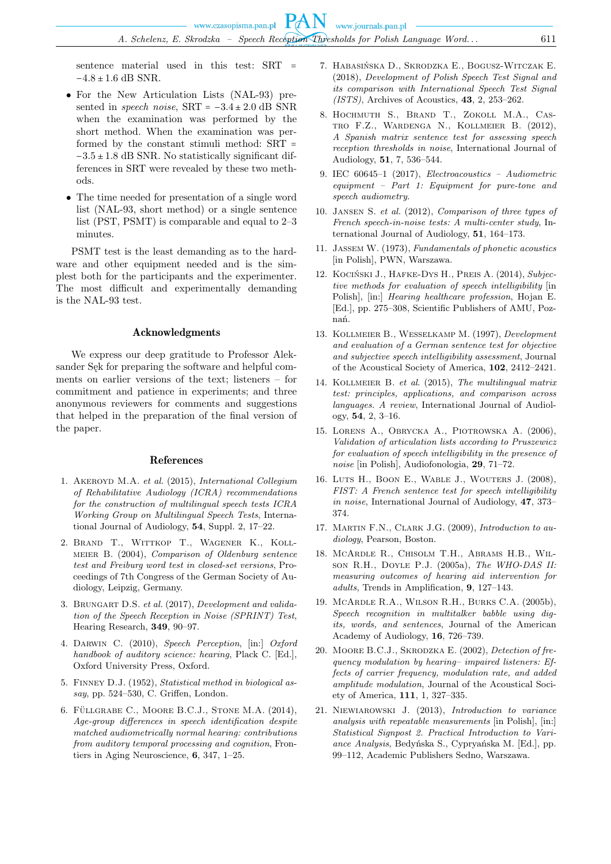sentence material used in this test: SRT =  $-4.8 \pm 1.6$  dB SNR.

- For the New Articulation Lists (NAL-93) presented in *speech noise*,  $SRT = -3.4 \pm 2.0$  dB SNR when the examination was performed by the short method. When the examination was performed by the constant stimuli method: SRT =  $-3.5 \pm 1.8$  dB SNR. No statistically significant differences in SRT were revealed by these two methods.
- The time needed for presentation of a single word list (NAL-93, short method) or a single sentence list (PST, PSMT) is comparable and equal to 2–3 minutes.

PSMT test is the least demanding as to the hardware and other equipment needed and is the simplest both for the participants and the experimenter. The most difficult and experimentally demanding is the NAL-93 test.

#### Acknowledgments

We express our deep gratitude to Professor Aleksander Sęk for preparing the software and helpful comments on earlier versions of the text; listeners – for commitment and patience in experiments; and three anonymous reviewers for comments and suggestions that helped in the preparation of the final version of the paper.

#### References

- 1. Akeroyd M.A. *et al.* (2015), *International Collegium of Rehabilitative Audiology (ICRA) recommendations for the construction of multilingual speech tests ICRA Working Group on Multilingual Speech Tests*, International Journal of Audiology, **54**, Suppl. 2, 17–22.
- 2. Brand T., Wittkop T., Wagener K., Kollmeier B. (2004), *Comparison of Oldenburg sentence test and Freiburg word test in closed-set versions*, Proceedings of 7th Congress of the German Society of Audiology, Leipzig, Germany.
- 3. Brungart D.S. *et al.* (2017), *Development and validation of the Speech Reception in Noise (SPRINT) Test*, Hearing Research, **349**, 90–97.
- 4. Darwin C. (2010), *Speech Perception*, [in:] *Oxford handbook of auditory science: hearing*, Plack C. [Ed.], Oxford University Press, Oxford.
- 5. Finney D.J. (1952), *Statistical method in biological assay*, pp. 524–530, C. Griffen, London.
- 6. FÜLLGRABE C., MOORE B.C.J., STONE M.A.  $(2014)$ , *Age-group differences in speech identification despite matched audiometrically normal hearing: contributions from auditory temporal processing and cognition*, Frontiers in Aging Neuroscience, **6**, 347, 1–25.
- 7. Habasińska D., Skrodzka E., Bogusz-Witczak E. (2018), *Development of Polish Speech Test Signal and its comparison with International Speech Test Signal (ISTS)*, Archives of Acoustics, **43**, 2, 253–262.
- 8. Hochmuth S., Brand T., Zokoll M.A., Castro F.Z., Wardenga N., Kollmeier B. (2012), *A Spanish matrix sentence test for assessing speech reception thresholds in noise*, International Journal of Audiology, **51**, 7, 536–544.
- 9. IEC 60645–1 (2017), *Electroacoustics Audiometric equipment – Part 1: Equipment for pure-tone and speech audiometry*.
- 10. Jansen S. *et al.* (2012), *Comparison of three types of French speech-in-noise tests: A multi-center study*, International Journal of Audiology, **51**, 164–173.
- 11. Jassem W. (1973), *Fundamentals of phonetic acoustics* [in Polish], PWN, Warszawa.
- 12. Kociński J., Hafke-Dys H., Preis A. (2014), *Subjective methods for evaluation of speech intelligibility* [in Polish], [in:] *Hearing healthcare profession*, Hojan E. [Ed.], pp. 275–308, Scientific Publishers of AMU, Poznań.
- 13. Kollmeier B., Wesselkamp M. (1997), *Development and evaluation of a German sentence test for objective and subjective speech intelligibility assessment*, Journal of the Acoustical Society of America, **102**, 2412–2421.
- 14. Kollmeier B. *et al*. (2015), *The multilingual matrix test: principles, applications, and comparison across languages. A review*, International Journal of Audiology, **54**, 2, 3–16.
- 15. Lorens A., Obrycka A., Piotrowska A. (2006), *Validation of articulation lists according to Pruszewicz for evaluation of speech intelligibility in the presence of noise* [in Polish], Audiofonologia, **29**, 71–72.
- 16. Luts H., Boon E., Wable J., Wouters J. (2008), *FIST: A French sentence test for speech intelligibility in noise*, International Journal of Audiology, **47**, 373– 374.
- 17. Martin F.N., Clark J.G. (2009), *Introduction to audiology*, Pearson, Boston.
- 18. McArdle R., Chisolm T.H., Abrams H.B., Wilson R.H., Doyle P.J. (2005a), *The WHO-DAS II: measuring outcomes of hearing aid intervention for adults*, Trends in Amplification, **9**, 127–143.
- 19. McArdle R.A., Wilson R.H., Burks C.A. (2005b), *Speech recognition in multitalker babble using digits, words, and sentences*, Journal of the American Academy of Audiology, **16**, 726–739.
- 20. Moore B.C.J., Skrodzka E. (2002), *Detection of frequency modulation by hearing– impaired listeners: Effects of carrier frequency, modulation rate, and added amplitude modulation*, Journal of the Acoustical Society of America, **111**, 1, 327–335.
- 21. Niewiarowski J. (2013), *Introduction to variance analysis with repeatable measurements* [in Polish], [in:] *Statistical Signpost 2. Practical Introduction to Variance Analysis*, Bedyńska S., Cypryańska M. [Ed.], pp. 99–112, Academic Publishers Sedno, Warszawa.